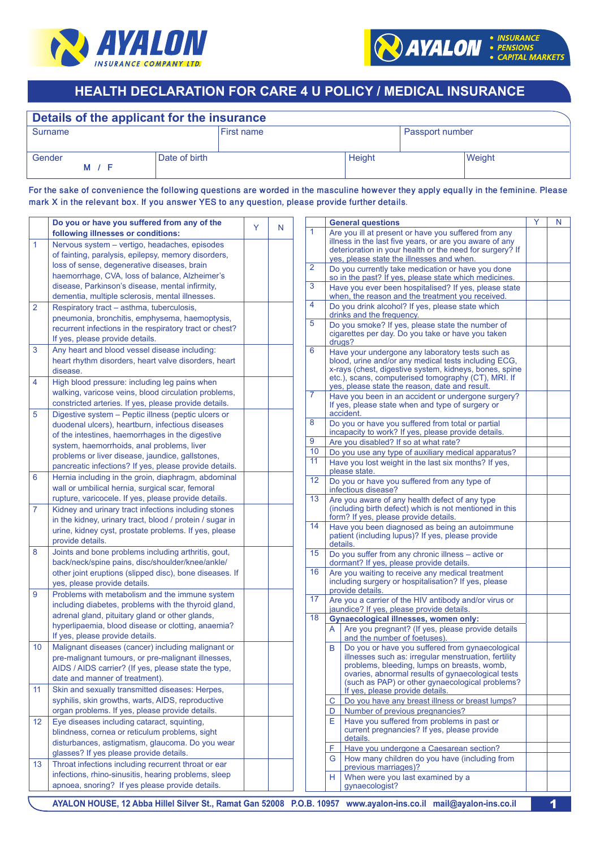



# **INEALTH DECLARATION FOR CARE 4 U POLICY / MEDICAL INSURANCE**

| Surname       |               | <b>First name</b> |        | Passport number |        |
|---------------|---------------|-------------------|--------|-----------------|--------|
| Gender<br>M / | Date of birth |                   | Height |                 | Weight |

For the sake of convenience the following questions are worded in the masculine however they apply equally in the feminine. Please mark X in the relevant box. If you answer YES to any question, please provide further details.

|                | Do you or have you suffered from any of the                                                                                                                                                                                                        | Y | N |                | <b>General questions</b>                                                                                                                                                                                                                                                                                                                                                                           |                                                                                                            | Y | N |
|----------------|----------------------------------------------------------------------------------------------------------------------------------------------------------------------------------------------------------------------------------------------------|---|---|----------------|----------------------------------------------------------------------------------------------------------------------------------------------------------------------------------------------------------------------------------------------------------------------------------------------------------------------------------------------------------------------------------------------------|------------------------------------------------------------------------------------------------------------|---|---|
|                | following illnesses or conditions:                                                                                                                                                                                                                 |   |   | 1              |                                                                                                                                                                                                                                                                                                                                                                                                    | Are you ill at present or have you suffered from any                                                       |   |   |
| 1              | Nervous system - vertigo, headaches, episodes                                                                                                                                                                                                      |   |   |                |                                                                                                                                                                                                                                                                                                                                                                                                    | illness in the last five years, or are you aware of any                                                    |   |   |
|                | of fainting, paralysis, epilepsy, memory disorders,                                                                                                                                                                                                |   |   |                | deterioration in your health or the need for surgery? If<br>yes, please state the illnesses and when.                                                                                                                                                                                                                                                                                              |                                                                                                            |   |   |
|                | loss of sense, degenerative diseases, brain<br>haemorrhage, CVA, loss of balance, Alzheimer's                                                                                                                                                      |   |   | $\overline{2}$ |                                                                                                                                                                                                                                                                                                                                                                                                    | Do you currently take medication or have you done<br>so in the past? If yes, please state which medicines. |   |   |
|                | disease, Parkinson's disease, mental infirmity,<br>dementia, multiple sclerosis, mental illnesses.                                                                                                                                                 |   |   | 3              |                                                                                                                                                                                                                                                                                                                                                                                                    | Have you ever been hospitalised? If yes, please state<br>when, the reason and the treatment you received.  |   |   |
| $\overline{2}$ | Respiratory tract - asthma, tuberculosis,                                                                                                                                                                                                          |   |   | 4              |                                                                                                                                                                                                                                                                                                                                                                                                    | Do you drink alcohol? If yes, please state which<br>drinks and the frequency.                              |   |   |
|                | pneumonia, bronchitis, emphysema, haemoptysis,<br>recurrent infections in the respiratory tract or chest?<br>If yes, please provide details.                                                                                                       |   |   |                | Do you smoke? If yes, please state the number of<br>cigarettes per day. Do you take or have you taken<br>drugs?                                                                                                                                                                                                                                                                                    |                                                                                                            |   |   |
| 3              | Any heart and blood vessel disease including:<br>heart rhythm disorders, heart valve disorders, heart<br>disease.                                                                                                                                  |   |   | 6              | Have your undergone any laboratory tests such as<br>blood, urine and/or any medical tests including ECG,<br>x-rays (chest, digestive system, kidneys, bones, spine<br>etc.), scans, computerised tomography (CT), MRI. If<br>yes, please state the reason, date and result.<br>Have you been in an accident or undergone surgery?<br>If yes, please state when and type of surgery or<br>accident. |                                                                                                            |   |   |
| 4              | High blood pressure: including leg pains when<br>walking, varicose veins, blood circulation problems,                                                                                                                                              |   |   |                |                                                                                                                                                                                                                                                                                                                                                                                                    |                                                                                                            |   |   |
| 5              | constricted arteries. If yes, please provide details.                                                                                                                                                                                              |   |   | 7              |                                                                                                                                                                                                                                                                                                                                                                                                    |                                                                                                            |   |   |
|                | Digestive system - Peptic illness (peptic ulcers or<br>duodenal ulcers), heartburn, infectious diseases                                                                                                                                            |   |   | 8              | Do you or have you suffered from total or partial<br>incapacity to work? If yes, please provide details.                                                                                                                                                                                                                                                                                           |                                                                                                            |   |   |
|                | of the intestines, haemorrhages in the digestive<br>system, haemorrhoids, anal problems, liver                                                                                                                                                     |   |   | 9              |                                                                                                                                                                                                                                                                                                                                                                                                    | Are you disabled? If so at what rate?                                                                      |   |   |
|                | problems or liver disease, jaundice, gallstones,                                                                                                                                                                                                   |   |   | 10             |                                                                                                                                                                                                                                                                                                                                                                                                    | Do you use any type of auxiliary medical apparatus?                                                        |   |   |
|                | pancreatic infections? If yes, please provide details.                                                                                                                                                                                             |   |   | 11             | please state.                                                                                                                                                                                                                                                                                                                                                                                      | Have you lost weight in the last six months? If yes,                                                       |   |   |
| 6              | Hernia including in the groin, diaphragm, abdominal<br>wall or umbilical hernia, surgical scar, femoral                                                                                                                                            |   |   | 12             | infectious disease?                                                                                                                                                                                                                                                                                                                                                                                | Do you or have you suffered from any type of                                                               |   |   |
|                | rupture, varicocele. If yes, please provide details.                                                                                                                                                                                               |   |   | 13             |                                                                                                                                                                                                                                                                                                                                                                                                    | Are you aware of any health defect of any type                                                             |   |   |
| 7              | Kidney and urinary tract infections including stones                                                                                                                                                                                               |   |   |                |                                                                                                                                                                                                                                                                                                                                                                                                    | (including birth defect) which is not mentioned in this                                                    |   |   |
|                | in the kidney, urinary tract, blood / protein / sugar in                                                                                                                                                                                           |   |   | 14             |                                                                                                                                                                                                                                                                                                                                                                                                    | form? If yes, please provide details.<br>Have you been diagnosed as being an autoimmune                    |   |   |
|                | urine, kidney cyst, prostate problems. If yes, please<br>provide details.                                                                                                                                                                          |   |   |                | details.                                                                                                                                                                                                                                                                                                                                                                                           | patient (including lupus)? If yes, please provide                                                          |   |   |
| 8              | Joints and bone problems including arthritis, gout,<br>back/neck/spine pains, disc/shoulder/knee/ankle/<br>other joint eruptions (slipped disc), bone diseases. If<br>yes, please provide details.                                                 |   |   | 15             | Do you suffer from any chronic illness - active or<br>dormant? If yes, please provide details.                                                                                                                                                                                                                                                                                                     |                                                                                                            |   |   |
|                |                                                                                                                                                                                                                                                    |   |   | 16             | Are you waiting to receive any medical treatment<br>including surgery or hospitalisation? If yes, please<br>provide details.                                                                                                                                                                                                                                                                       |                                                                                                            |   |   |
| 9              | Problems with metabolism and the immune system<br>including diabetes, problems with the thyroid gland,<br>adrenal gland, pituitary gland or other glands,<br>hyperlipaemia, blood disease or clotting, anaemia?<br>If yes, please provide details. |   |   | 17<br>18       | Are you a carrier of the HIV antibody and/or virus or<br>jaundice? If yes, please provide details.                                                                                                                                                                                                                                                                                                 |                                                                                                            |   |   |
|                |                                                                                                                                                                                                                                                    |   |   |                |                                                                                                                                                                                                                                                                                                                                                                                                    | <b>Gynaecological illnesses, women only:</b>                                                               |   |   |
|                |                                                                                                                                                                                                                                                    |   |   |                | A                                                                                                                                                                                                                                                                                                                                                                                                  | Are you pregnant? (If yes, please provide details<br>and the number of foetuses)                           |   |   |
| 10             | Malignant diseases (cancer) including malignant or                                                                                                                                                                                                 |   |   |                | B                                                                                                                                                                                                                                                                                                                                                                                                  | Do you or have you suffered from gynaecological                                                            |   |   |
|                | pre-malignant tumours, or pre-malignant illnesses,                                                                                                                                                                                                 |   |   |                |                                                                                                                                                                                                                                                                                                                                                                                                    | illnesses such as: irregular menstruation, fertility                                                       |   |   |
|                | AIDS / AIDS carrier? (If yes, please state the type,                                                                                                                                                                                               |   |   |                |                                                                                                                                                                                                                                                                                                                                                                                                    | problems, bleeding, lumps on breasts, womb,<br>ovaries, abnormal results of gynaecological tests           |   |   |
|                | date and manner of treatment).                                                                                                                                                                                                                     |   |   |                |                                                                                                                                                                                                                                                                                                                                                                                                    | (such as PAP) or other gynaecological problems?                                                            |   |   |
| 11             | Skin and sexually transmitted diseases: Herpes,                                                                                                                                                                                                    |   |   |                |                                                                                                                                                                                                                                                                                                                                                                                                    | If yes, please provide details.                                                                            |   |   |
|                | syphilis, skin growths, warts, AIDS, reproductive<br>organ problems. If yes, please provide details.                                                                                                                                               |   |   |                | C.                                                                                                                                                                                                                                                                                                                                                                                                 | Do you have any breast illness or breast lumps?                                                            |   |   |
|                |                                                                                                                                                                                                                                                    |   |   |                | D<br>E.                                                                                                                                                                                                                                                                                                                                                                                            | Number of previous pregnancies?<br>Have you suffered from problems in past or                              |   |   |
| 12             | Eye diseases including cataract, squinting,<br>blindness, cornea or reticulum problems, sight                                                                                                                                                      |   |   |                |                                                                                                                                                                                                                                                                                                                                                                                                    | current pregnancies? If yes, please provide                                                                |   |   |
|                | disturbances, astigmatism, glaucoma. Do you wear                                                                                                                                                                                                   |   |   |                | details.                                                                                                                                                                                                                                                                                                                                                                                           |                                                                                                            |   |   |
|                | glasses? If yes please provide details.                                                                                                                                                                                                            |   |   |                | F                                                                                                                                                                                                                                                                                                                                                                                                  | Have you undergone a Caesarean section?                                                                    |   |   |
| 13             | Throat infections including recurrent throat or ear                                                                                                                                                                                                |   |   |                | How many children do you have (including from<br>G<br>previous marriages)?                                                                                                                                                                                                                                                                                                                         |                                                                                                            |   |   |
|                | infections, rhino-sinusitis, hearing problems, sleep<br>apnoea, snoring? If yes please provide details.                                                                                                                                            |   |   |                | When were you last examined by a<br>H.<br>gynaecologist?                                                                                                                                                                                                                                                                                                                                           |                                                                                                            |   |   |
|                |                                                                                                                                                                                                                                                    |   |   |                |                                                                                                                                                                                                                                                                                                                                                                                                    |                                                                                                            |   |   |

AYALON HOUSE, 12 Abba Hillel Silver St., Ramat Gan 52008 P.O.B. 10957 www.ayalon-ins.co.il mail@ayalon-ins.co.il